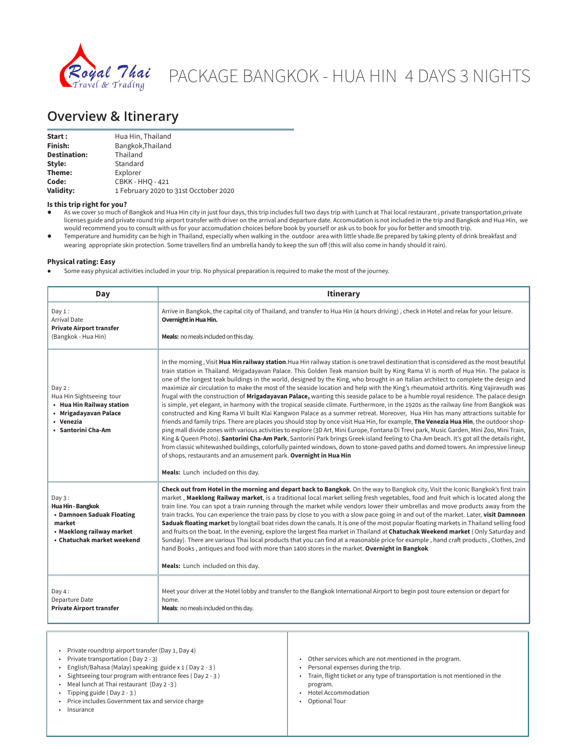

# PACKAGE BANGKOK - HUA HIN 4 DAYS 3 NIGHTS

# **Overview & Itinerary**

| Start:              | Hua Hin, Thailand                     |
|---------------------|---------------------------------------|
| Finish:             | Bangkok, Thailand                     |
| <b>Destination:</b> | Thailand                              |
| Style:              | Standard                              |
| Theme:              | Explorer                              |
| Code:               | <b>CBKK - HHO - 421</b>               |
| Validity:           | 1 February 2020 to 31st Occtober 2020 |

**Is this trip right for you?**

- As we cover so much of Bangkok and Hua Hin city in just four days, this trip includes full two days trip with Lunch at Thai local restaurant, private transportation,private licenses guide and private round trip airport transfer with driver on the arrival and departure date. Accomudation is not included in the trip and Bangkok and Hua Hin, we would recommend you to consult with us for your accomudation choices before book by yourself or ask us to book for you for better and smooth trip.
- Temperature and humidity can be high in Thailand, especially when walking in the outdoor area with little shade.Be prepared by taking plenty of drink breakfast and wearing appropriate skin protection. Some travellers find an umbrella handy to keep the sun off (this will also come in handy should it rain).

### **Physical rating: Easy**

Some easy physical activities included in your trip. No physical preparation is required to make the most of the journey.

| Day                                                                                                                           | <b>Itinerary</b>                                                                                                                                                                                                                                                                                                                                                                                                                                                                                                                                                                                                                                                                                                                                                                                                                                                                                                                                                                                                                                                                                                                                                                                                                                                                                                                                                                                                                                                                                                                                                                                                                                                         |
|-------------------------------------------------------------------------------------------------------------------------------|--------------------------------------------------------------------------------------------------------------------------------------------------------------------------------------------------------------------------------------------------------------------------------------------------------------------------------------------------------------------------------------------------------------------------------------------------------------------------------------------------------------------------------------------------------------------------------------------------------------------------------------------------------------------------------------------------------------------------------------------------------------------------------------------------------------------------------------------------------------------------------------------------------------------------------------------------------------------------------------------------------------------------------------------------------------------------------------------------------------------------------------------------------------------------------------------------------------------------------------------------------------------------------------------------------------------------------------------------------------------------------------------------------------------------------------------------------------------------------------------------------------------------------------------------------------------------------------------------------------------------------------------------------------------------|
| Day 1:<br><b>Arrival Date</b><br><b>Private Airport transfer</b><br>(Bangkok - Hua Hin)                                       | Arrive in Bangkok, the capital city of Thailand, and transfer to Hua Hin (4 hours driving), check in Hotel and relax for your leisure.<br>Overnight in Hua Hin.<br>Meals: no meals included on this day.                                                                                                                                                                                                                                                                                                                                                                                                                                                                                                                                                                                                                                                                                                                                                                                                                                                                                                                                                                                                                                                                                                                                                                                                                                                                                                                                                                                                                                                                 |
| Day 2:<br>Hua Hin Sightseeing tour<br>• Hua Hin Railway station<br>• Mrigadayavan Palace<br>• Venezia<br>• Santorini Cha-Am   | In the morning, Visit Hua Hin railway station. Hua Hin railway station is one travel destination that is considered as the most beautiful<br>train station in Thailand. Mrigadayavan Palace. This Golden Teak mansion built by King Rama VI is north of Hua Hin. The palace is<br>one of the longest teak buildings in the world, designed by the King, who brought in an Italian architect to complete the design and<br>maximize air circulation to make the most of the seaside location and help with the King's rheumatoid arthritis. King Vajiravudh was<br>frugal with the construction of Mrigadayavan Palace, wanting this seaside palace to be a humble royal residence. The palace design<br>is simple, yet elegant, in harmony with the tropical seaside climate. Furthermore, in the 1920s as the railway line from Bangkok was<br>constructed and King Rama VI built Klai Kangwon Palace as a summer retreat. Moreover, Hua Hin has many attractions suitable for<br>friends and family trips. There are places you should stop by once visit Hua Hin, for example, <b>The Venezia Hua Hin</b> , the outdoor shop-<br>ping mall divide zones with various activities to explore (3D Art, Mini Europe, Fontana Di Trevi park, Music Garden, Mini Zoo, Mini Train,<br>King & Queen Photo). Santorini Cha-Am Park, Santorini Park brings Greek island feeling to Cha-Am beach. It's got all the details right,<br>from classic whitewashed buildings, colorfully painted windows, down to stone-paved paths and domed towers. An impressive lineup<br>of shops, restaurants and an amusement park. Overnight in Hua Hin<br>Meals: Lunch included on this day. |
| Day 3:<br>Hua Hin - Bangkok<br>• Damnoen Saduak Floating<br>market<br>• Maeklong railway market<br>• Chatuchak market weekend | Check out from Hotel in the morning and depart back to Bangkok. On the way to Bangkok city, Visit the Iconic Bangkok's first train<br>market, Maeklong Railway market, is a traditional local market selling fresh vegetables, food and fruit which is located along the<br>train line. You can spot a train running through the market while vendors lower their umbrellas and move products away from the<br>train tracks. You can experience the train pass by close to you with a slow pace going in and out of the market. Later, visit Damnoen<br>Saduak floating market by longtail boat rides down the canals. It is one of the most popular floating markets in Thailand selling food<br>and fruits on the boat. In the evening, explore the largest flea market in Thailand at Chatuchak Weekend market (Only Saturday and<br>Sunday). There are various Thai local products that you can find at a reasonable price for example, hand craft products, Clothes, 2nd<br>hand Books, antiques and food with more than 1400 stores in the market. Overnight in Bangkok<br>Meals: Lunch included on this day.                                                                                                                                                                                                                                                                                                                                                                                                                                                                                                                                                      |
| Day $4:$<br>Departure Date<br><b>Private Airport transfer</b>                                                                 | Meet your driver at the Hotel lobby and transfer to the Bangkok International Airport to begin post toure extension or depart for<br>home.<br>Meals: no meals included on this day.                                                                                                                                                                                                                                                                                                                                                                                                                                                                                                                                                                                                                                                                                                                                                                                                                                                                                                                                                                                                                                                                                                                                                                                                                                                                                                                                                                                                                                                                                      |

- Private roundtrip airport transfer (Day 1, Day 4)
- Private transportation ( Day 2 3)
- English/Bahasa (Malay) speaking guide x 1 ( Day 2 3 )
- Sightseeing tour program with entrance fees ( Day 2 3 )
- Meal lunch at Thai restaurant (Day 2 -3 )
- Tipping guide ( Day 2 3 )
- Price includes Government tax and service charge

• Insurance

- Other services which are not mentioned in the program.
- Personal expenses during the trip.
- Train, flight ticket or any type of transportation is not mentioned in the program.
- Hotel Accommodation
- Optional Tour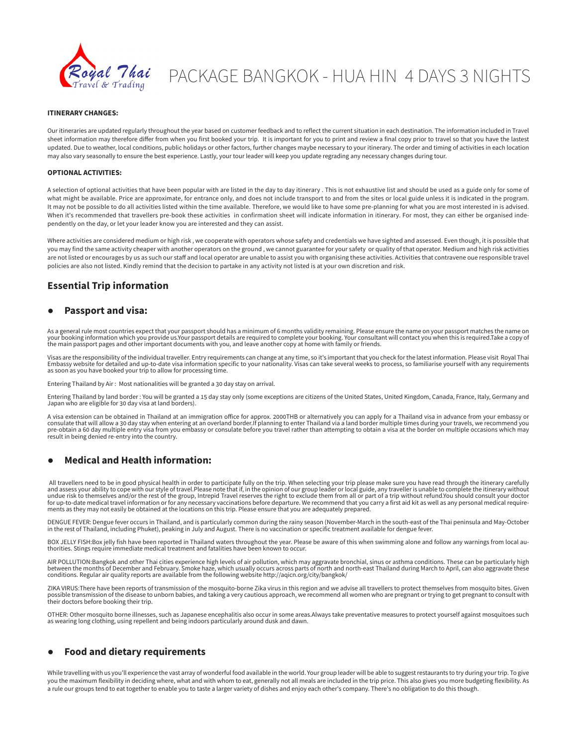

# PACKAGE BANGKOK - HUA HIN 4 DAYS 3 NIGHTS

### **ITINERARY CHANGES:**

Our itineraries are updated regularly throughout the year based on customer feedback and to reflect the current situation in each destination. The information included in Travel sheet information may therefore differ from when you first booked your trip. It is important for you to print and review a final copy prior to travel so that you have the lastest updated. Due to weather, local conditions, public holidays or other factors, further changes maybe necessary to your itinerary. The order and timing of activities in each location may also vary seasonally to ensure the best experience. Lastly, your tour leader will keep you update regrading any necessary changes during tour.

### **OPTIONAL ACTIVITIES:**

A selection of optional activities that have been popular with are listed in the day to day itinerary . This is not exhaustive list and should be used as a guide only for some of what might be available. Price are approximate, for entrance only, and does not include transport to and from the sites or local guide unless it is indicated in the program. It may not be possible to do all activities listed within the time available. Therefore, we would like to have some pre-planning for what you are most interested in is advised. When it's recommended that travellers pre-book these activities in confirmation sheet will indicate information in itinerary. For most, they can either be organised independently on the day, or let your leader know you are interested and they can assist.

Where activities are considered medium or high risk , we cooperate with operators whose safety and credentials we have sighted and assessed. Even though, it is possible that you may find the same activity cheaper with another operators on the ground , we cannot guarantee for your safety or quality of that operator. Medium and high risk activities are not listed or encourages by us as such our staff and local operator are unable to assist you with organising these activities. Activities that contravene oue responsible travel policies are also not listed. Kindly remind that the decision to partake in any activity not listed is at your own discretion and risk.

# **Essential Trip information**

# ● **Passport and visa:**

As a general rule most countries expect that your passport should has a minimum of 6 months validity remaining. Please ensure the name on your passport matches the name on your booking information which you provide us.Your passport details are required to complete your booking. Your consultant will contact you when this is required.Take a copy of<br>the main passport pages and other important d

Visas are the responsibility of the individual traveller. Entry requirements can change at any time, so it's important that you check for the latest information. Please visit Royal Thai<br>Embassy website for detailed and up-

Entering Thailand by Air : Most nationalities will be granted a 30 day stay on arrival.

Entering Thailand by land border : You will be granted a 15 day stay only (some exceptions are citizens of the United States, United Kingdom, Canada, France, Italy, Germany and Japan who are eligible for 30 day visa at land borders).

A visa extension can be obtained in Thailand at an immigration office for approx. 2000THB or alternatively you can apply for a Thailand visa in advance from your embassy or<br>consulate that will allow a 30 day stay when ente pre-obtain a 60 day multiple entry visa from you embassy or consulate before you travel rather than attempting to obtain a visa at the border on multiple occasions which may result in being denied re-entry into the country.

# ● **Medical and Health information:**

All travellers need to be in good physical health in order to participate fully on the trip. When selecting your trip please make sure you have read through the itinerary carefully<br>and assess your ability to cope with our for up-to-date medical travel information or for any necessary vaccinations before departure. We recommend that you carry a first aid kit as well as any personal medical requirements as they may not easily be obtained at the locations on this trip. Please ensure that you are adequately prepared.

DENGUE FEVER: Dengue fever occurs in Thailand, and is particularly common during the rainy season (November-March in the south-east of the Thai peninsula and May-October in the rest of Thailand, including Phuket), peaking in July and August. There is no vaccination or specific treatment available for dengue fever.

BOX JELLY FISH:Box jelly fish have been reported in Thailand waters throughout the year. Please be aware of this when swimming alone and follow any warnings from local au-<br>thorities. Stings require immediate medical treatm

AIR POLLUTION:Bangkok and other Thai cities experience high levels of air pollution, which may aggravate bronchial, sinus or asthma conditions. These can be particularly high<br>between the months of December and February. Sm

ZIKA VIRUS:There have been reports of transmission of the mosquito-borne Zika virus in this region and we advise all travellers to protect themselves from mosquito bites. Given<br>possible transmission of the disease to unbor their doctors before booking their trip.

OTHER: Other mosquito borne illnesses, such as Japanese encephalitis also occur in some areas.Always take preventative measures to protect yourself against mosquitoes such as wearing long clothing, using repellent and being indoors particularly around dusk and dawn.

# ● **Food and dietary requirements**

While travelling with us you'll experience the vast array of wonderful food available in the world. Your group leader will be able to suggest restaurants to try during your trip. To give you the maximum flexibility in deciding where, what and with whom to eat, generally not all meals are included in the trip price. This also gives you more budgeting flexibility. As a rule our groups tend to eat together to enable you to taste a larger variety of dishes and enjoy each other's company. There's no obligation to do this though.